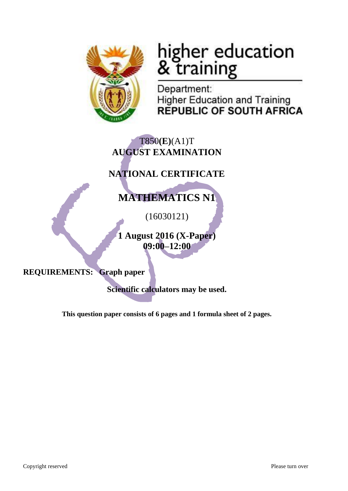

# higher education<br>& training

Department: **Higher Education and Training REPUBLIC OF SOUTH AFRICA** 

## T850**(E)**(A1)T **AUGUST EXAMINATION**

# **NATIONAL CERTIFICATE**

# **MATHEMATICS N1**

(16030121)

**1 August 2016 (X-Paper) 09:00–12:00**

**REQUIREMENTS: Graph paper**

**Scientific calculators may be used.**

**This question paper consists of 6 pages and 1 formula sheet of 2 pages.**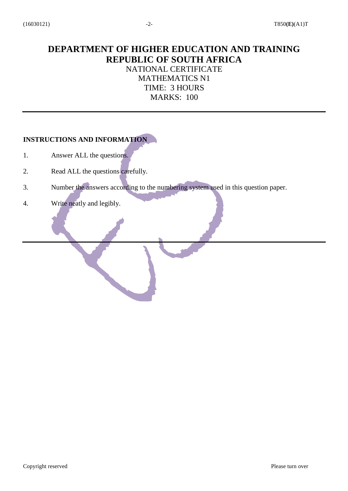## **DEPARTMENT OF HIGHER EDUCATION AND TRAINING REPUBLIC OF SOUTH AFRICA** NATIONAL CERTIFICATE MATHEMATICS N1 TIME: 3 HOURS MARKS: 100

### **INSTRUCTIONS AND INFORMATION**

- 1. Answer ALL the questions.
- 2. Read ALL the questions carefully.
- 3. Number the answers according to the numbering system used in this question paper.
- 4. Write neatly and legibly.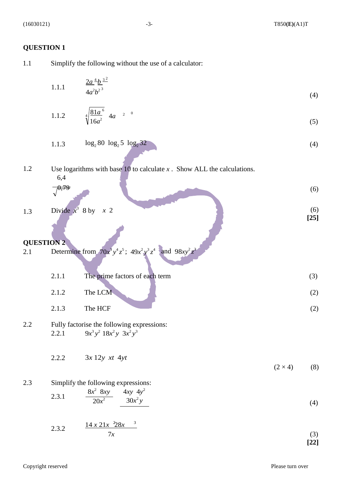#### **QUESTION 1**

1.1 Simplify the following without the use of a calculator:

1.1.1 
$$
\frac{2a^4b^{3^2}}{4a^2b^2}
$$
 (4)

1.1.2 
$$
\sqrt[4]{\frac{81a^6}{16a^2}} 4a^{-2}
$$
 (5)

1.1.3 
$$
\log_2 80 \log_2 5 \log_2 32 \tag{4}
$$

## 1.2 Use logarithms with base 10 to calculate *x* . Show ALL the calculations. 6,4

$$
\sqrt{0.79}
$$

1.3 Divide 
$$
x^3
$$
 8 by  $x$  2\n[25]

## **QUESTION 2**

2.1 Determine from 
$$
70x^3y^4z^5
$$
;  $49x^2y^3z^4$  and  $98xy^2z^3$ 

2.1.1 The prime factors of each term (3)  $2.1.2$  The LCM (2)

$$
2.1.3 \t\t The HCF \t\t(2)
$$

- 2.2 Fully factorise the following expressions: 2.2.1 9*x*  $3y^2$  18*x*<sup>2</sup>*y* 3*x*<sup>2</sup>*y*<sup>3</sup>
	- 2.2.2 3*x* 12*y xt* 4*yt*  $(2 \times 4)$  (8)

## 2.3 Simplify the following expressions:

2.3.1 
$$
\frac{8x^2}{20x^2} \frac{8xy}{30x^2y} \qquad (4)
$$

2.3.2 
$$
\frac{14 \times 21x^{-2}8x^{-3}}{7x}
$$
 (3)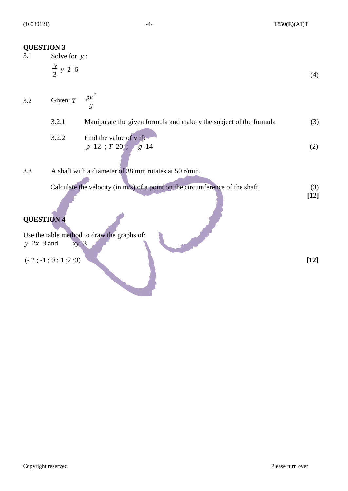(16030121) -4- T850**(E)**(A1)T

#### **QUESTION 3**

- 3.1 Solve for *y* :  $\frac{y}{2}$  *y* 2 6  $3^{3}$  (4)
- *pv*  2 3.2 Given: *T g*

| 3.2.1 | Manipulate the given formula and make v the subject of the formula | (3) |
|-------|--------------------------------------------------------------------|-----|
|       |                                                                    |     |

- 3.2.2 Find the value of v if:  $p \ 12 \ ; T \ 20 \ ; \ g \ 14$  (2)
- 3.3 A shaft with a diameter of 38 mm rotates at 50 r/min.

| Calculate the velocity (in m/s) of a point on the circumference of the shaft. |  |
|-------------------------------------------------------------------------------|--|
|                                                                               |  |

## **QUESTION 4**

Use the table method to draw the graphs of: *y* 2*x* 3 and *xy* 3

(- 2 ; -1 ; 0 ; 1 ;2 ;3) **[12]**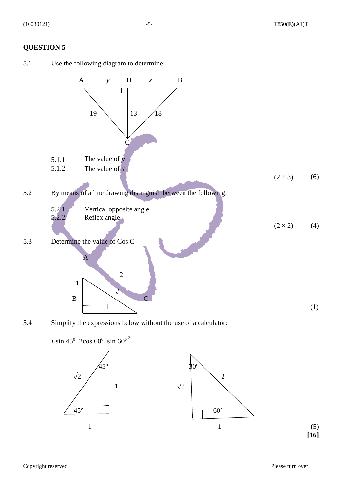#### **QUESTION 5**

5.1 Use the following diagram to determine:



5.4 Simplify the expressions below without the use of a calculator:

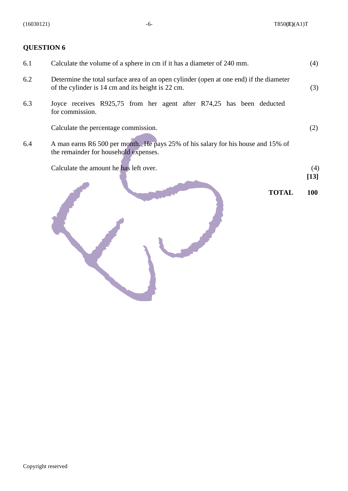**TOTAL 100**

## **QUESTION 6**

| 6.1 | Calculate the volume of a sphere in cm if it has a diameter of 240 mm.                                                                      | (4)    |
|-----|---------------------------------------------------------------------------------------------------------------------------------------------|--------|
| 6.2 | Determine the total surface area of an open cylinder (open at one end) if the diameter<br>of the cylinder is 14 cm and its height is 22 cm. | (3)    |
| 6.3 | Joyce receives R925,75 from her agent after R74,25 has been deducted<br>for commission.                                                     |        |
|     | Calculate the percentage commission.                                                                                                        | (2)    |
| 6.4 | A man earns R6 500 per month. He pays 25% of his salary for his house and 15% of<br>the remainder for household expenses.                   |        |
|     | Calculate the amount he has left over.                                                                                                      | (4)    |
|     |                                                                                                                                             | $[13]$ |



Copyright reserved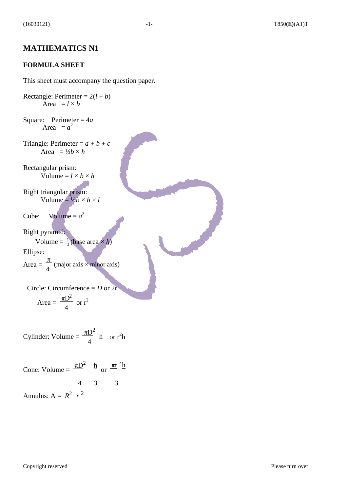## **MATHEMATICS N1**

#### **FORMULA SHEET**

This sheet must accompany the question paper.

Rectangle: Perimeter =  $2(l + b)$ Area  $=$   $l \times b$ Square: Perimeter = 4*a* Area  $= a^2$ Triangle: Perimeter =  $a + b + c$ Area =  $\frac{1}{2}b \times h$ Rectangular prism: Volume =  $l \times b \times h$ Right triangular prism: Volume =  $\frac{1}{2}b \times h \times l$ Cube: Volume =  $a^3$ Right pyramid: Volume =  $\frac{1}{3}$ (base area × *h*) Ellipse: Area =  $\frac{\pi}{4}$  (major axis × minor axis) 4 Circle: Circumference = *D* or 2r Area =  $\frac{\pi D^2}{4}$ 4  $\sigma$  or  $r^2$ 

Cylinder: Volume =  $\frac{\pi D^2}{4}$  h 4 or  $r^2h$ 

Cone: Volume =  $\frac{\pi D^2}{\mu}$  h or  $\frac{\pi r^2 h}{\sigma}$ 4 3 3 Annulus:  $A = R^2 r^2$